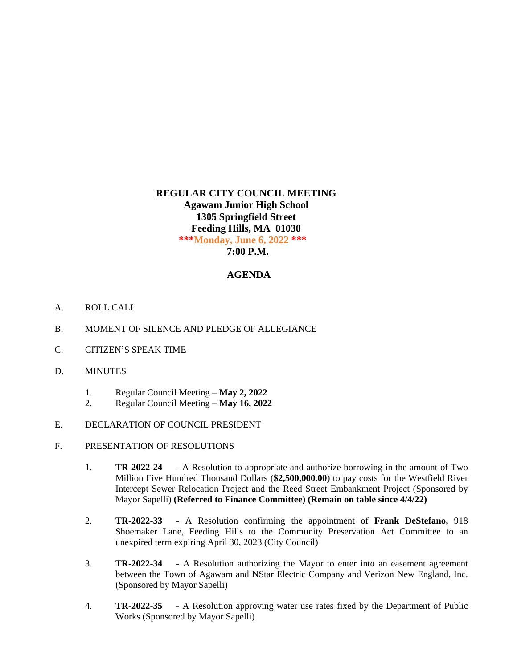# **REGULAR CITY COUNCIL MEETING Agawam Junior High School 1305 Springfield Street Feeding Hills, MA 01030 \*\*\*Monday, June 6, 2022 \*\*\* 7:00 P.M.**

### **AGENDA**

- A. ROLL CALL
- B. MOMENT OF SILENCE AND PLEDGE OF ALLEGIANCE
- C. CITIZEN'S SPEAK TIME
- D. MINUTES
	- 1. Regular Council Meeting **May 2, 2022**
	- 2. Regular Council Meeting **May 16, 2022**
- E. DECLARATION OF COUNCIL PRESIDENT
- F. PRESENTATION OF RESOLUTIONS
	- 1. **TR-2022-24 -** A Resolution to appropriate and authorize borrowing in the amount of Two Million Five Hundred Thousand Dollars (**\$2,500,000.00**) to pay costs for the Westfield River Intercept Sewer Relocation Project and the Reed Street Embankment Project (Sponsored by Mayor Sapelli) **(Referred to Finance Committee) (Remain on table since 4/4/22)**
	- 2. **TR-2022-33** A Resolution confirming the appointment of **Frank DeStefano,** 918 Shoemaker Lane, Feeding Hills to the Community Preservation Act Committee to an unexpired term expiring April 30, 2023 (City Council)
	- 3. **TR-2022-34** A Resolution authorizing the Mayor to enter into an easement agreement between the Town of Agawam and NStar Electric Company and Verizon New England, Inc. (Sponsored by Mayor Sapelli)
	- 4. **TR-2022-35** A Resolution approving water use rates fixed by the Department of Public Works (Sponsored by Mayor Sapelli)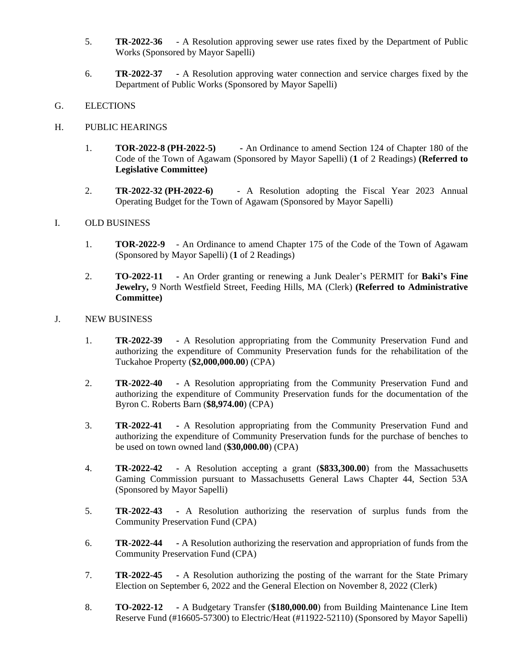- 5. **TR-2022-36** A Resolution approving sewer use rates fixed by the Department of Public Works (Sponsored by Mayor Sapelli)
- 6. **TR-2022-37 -** A Resolution approving water connection and service charges fixed by the Department of Public Works (Sponsored by Mayor Sapelli)

#### G. ELECTIONS

#### H. PUBLIC HEARINGS

- 1. **TOR-2022-8 (PH-2022-5) -** An Ordinance to amend Section 124 of Chapter 180 of the Code of the Town of Agawam (Sponsored by Mayor Sapelli) (**1** of 2 Readings) **(Referred to Legislative Committee)**
- 2. **TR-2022-32 (PH-2022-6)** A Resolution adopting the Fiscal Year 2023 Annual Operating Budget for the Town of Agawam (Sponsored by Mayor Sapelli)

## I. OLD BUSINESS

- 1. **TOR-2022-9** An Ordinance to amend Chapter 175 of the Code of the Town of Agawam (Sponsored by Mayor Sapelli) (**1** of 2 Readings)
- 2. **TO-2022-11 -** An Order granting or renewing a Junk Dealer's PERMIT for **Baki's Fine Jewelry,** 9 North Westfield Street, Feeding Hills, MA (Clerk) **(Referred to Administrative Committee)**

#### J. NEW BUSINESS

- 1. **TR-2022-39 -** A Resolution appropriating from the Community Preservation Fund and authorizing the expenditure of Community Preservation funds for the rehabilitation of the Tuckahoe Property (**\$2,000,000.00**) (CPA)
- 2. **TR-2022-40 -** A Resolution appropriating from the Community Preservation Fund and authorizing the expenditure of Community Preservation funds for the documentation of the Byron C. Roberts Barn (**\$8,974.00**) (CPA)
- 3. **TR-2022-41 -** A Resolution appropriating from the Community Preservation Fund and authorizing the expenditure of Community Preservation funds for the purchase of benches to be used on town owned land (**\$30,000.00**) (CPA)
- 4. **TR-2022-42 -** A Resolution accepting a grant (**\$833,300.00**) from the Massachusetts Gaming Commission pursuant to Massachusetts General Laws Chapter 44, Section 53A (Sponsored by Mayor Sapelli)
- 5. **TR-2022-43 -** A Resolution authorizing the reservation of surplus funds from the Community Preservation Fund (CPA)
- 6. **TR-2022-44 -** A Resolution authorizing the reservation and appropriation of funds from the Community Preservation Fund (CPA)
- 7. **TR-2022-45 -** A Resolution authorizing the posting of the warrant for the State Primary Election on September 6, 2022 and the General Election on November 8, 2022 (Clerk)
- 8. **TO-2022-12 -** A Budgetary Transfer (**\$180,000.00**) from Building Maintenance Line Item Reserve Fund (#16605-57300) to Electric/Heat (#11922-52110) (Sponsored by Mayor Sapelli)